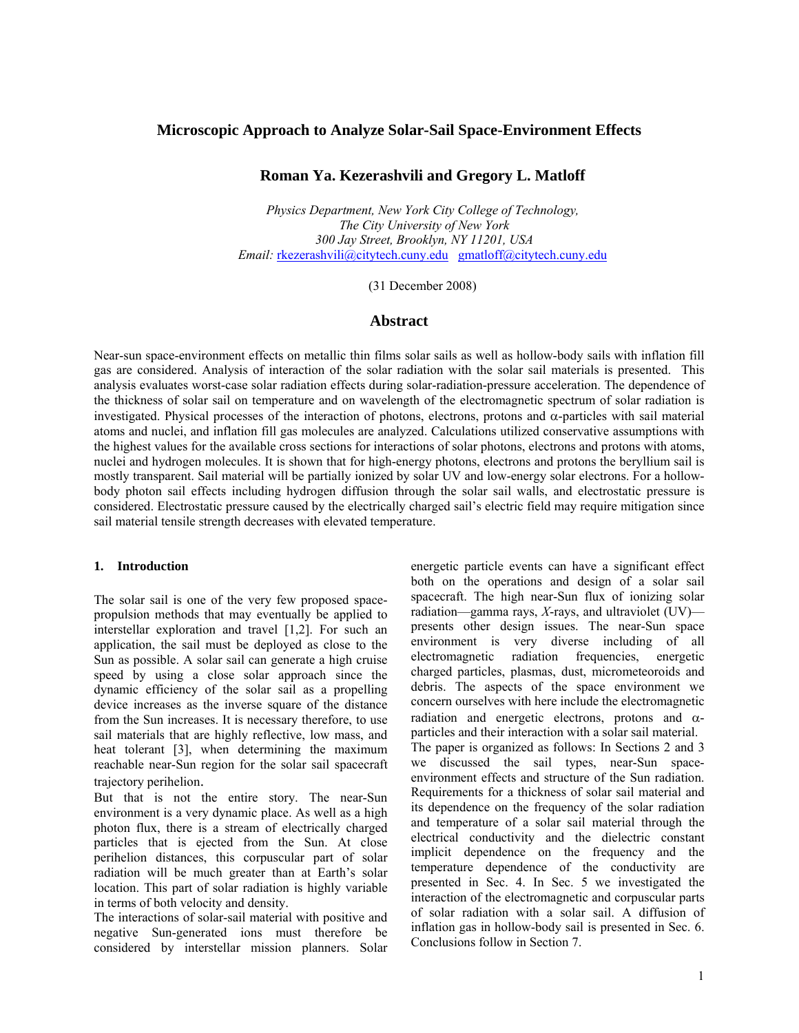# **Microscopic Approach to Analyze Solar-Sail Space-Environment Effects**

# **Roman Ya. Kezerashvili and Gregory L. Matloff**

*Physics Department, New York City College of Technology, The City University of New York 300 Jay Street, Brooklyn, NY 11201, USA Email:* rkezerashvili@citytech.cuny.edu gmatloff@citytech.cuny.edu

(31 December 2008)

### **Abstract**

Near-sun space-environment effects on metallic thin films solar sails as well as hollow-body sails with inflation fill gas are considered. Analysis of interaction of the solar radiation with the solar sail materials is presented. This analysis evaluates worst-case solar radiation effects during solar-radiation-pressure acceleration. The dependence of the thickness of solar sail on temperature and on wavelength of the electromagnetic spectrum of solar radiation is investigated. Physical processes of the interaction of photons, electrons, protons and  $\alpha$ -particles with sail material atoms and nuclei, and inflation fill gas molecules are analyzed. Calculations utilized conservative assumptions with the highest values for the available cross sections for interactions of solar photons, electrons and protons with atoms, nuclei and hydrogen molecules. It is shown that for high-energy photons, electrons and protons the beryllium sail is mostly transparent. Sail material will be partially ionized by solar UV and low-energy solar electrons. For a hollowbody photon sail effects including hydrogen diffusion through the solar sail walls, and electrostatic pressure is considered. Electrostatic pressure caused by the electrically charged sail's electric field may require mitigation since sail material tensile strength decreases with elevated temperature.

#### **1. Introduction**

The solar sail is one of the very few proposed spacepropulsion methods that may eventually be applied to interstellar exploration and travel [1,2]. For such an application, the sail must be deployed as close to the Sun as possible. A solar sail can generate a high cruise speed by using a close solar approach since the dynamic efficiency of the solar sail as a propelling device increases as the inverse square of the distance from the Sun increases. It is necessary therefore, to use sail materials that are highly reflective, low mass, and heat tolerant [3], when determining the maximum reachable near-Sun region for the solar sail spacecraft trajectory perihelion.

But that is not the entire story. The near-Sun environment is a very dynamic place. As well as a high photon flux, there is a stream of electrically charged particles that is ejected from the Sun. At close perihelion distances, this corpuscular part of solar radiation will be much greater than at Earth's solar location. This part of solar radiation is highly variable in terms of both velocity and density.

The interactions of solar-sail material with positive and negative Sun-generated ions must therefore be considered by interstellar mission planners. Solar energetic particle events can have a significant effect both on the operations and design of a solar sail spacecraft. The high near-Sun flux of ionizing solar radiation—gamma rays, *X*-rays, and ultraviolet (UV) presents other design issues. The near-Sun space environment is very diverse including of all electromagnetic radiation frequencies, energetic charged particles, plasmas, dust, micrometeoroids and debris. The aspects of the space environment we concern ourselves with here include the electromagnetic radiation and energetic electrons, protons and αparticles and their interaction with a solar sail material. The paper is organized as follows: In Sections 2 and 3 we discussed the sail types, near-Sun spaceenvironment effects and structure of the Sun radiation. Requirements for a thickness of solar sail material and its dependence on the frequency of the solar radiation and temperature of a solar sail material through the electrical conductivity and the dielectric constant implicit dependence on the frequency and the temperature dependence of the conductivity are presented in Sec. 4. In Sec. 5 we investigated the interaction of the electromagnetic and corpuscular parts of solar radiation with a solar sail. A diffusion of inflation gas in hollow-body sail is presented in Sec. 6. Conclusions follow in Section 7.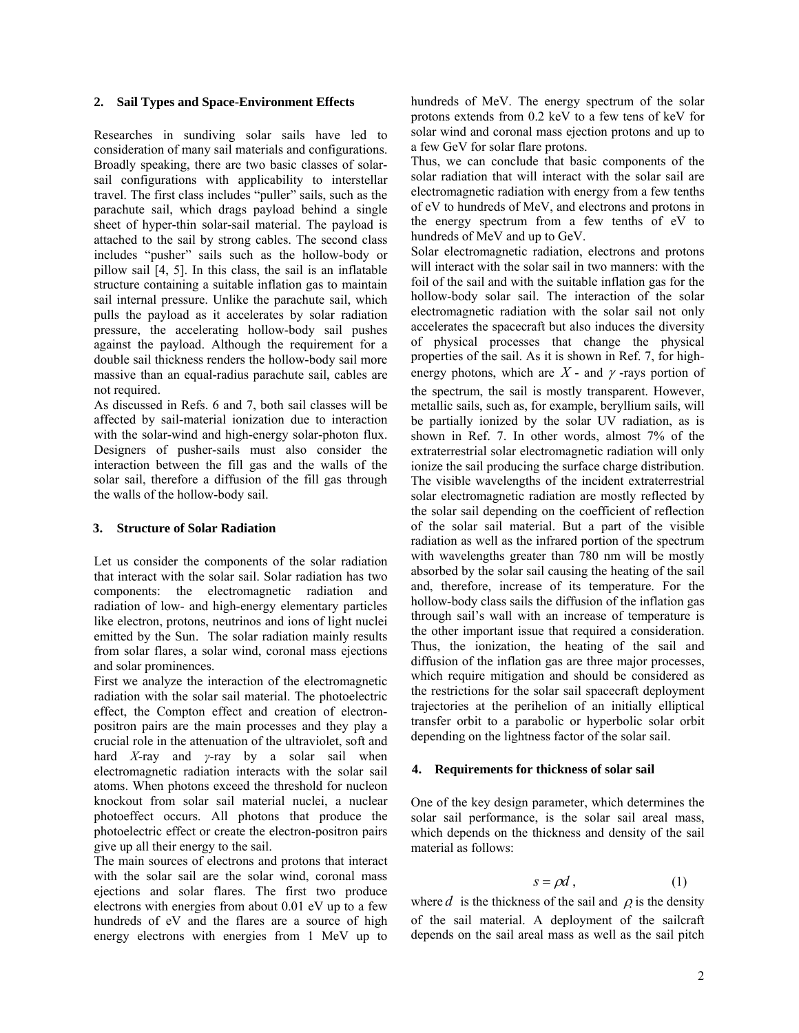### **2. Sail Types and Space-Environment Effects**

Researches in sundiving solar sails have led to consideration of many sail materials and configurations. Broadly speaking, there are two basic classes of solarsail configurations with applicability to interstellar travel. The first class includes "puller" sails, such as the parachute sail, which drags payload behind a single sheet of hyper-thin solar-sail material. The payload is attached to the sail by strong cables. The second class includes "pusher" sails such as the hollow-body or pillow sail [4, 5]. In this class, the sail is an inflatable structure containing a suitable inflation gas to maintain sail internal pressure. Unlike the parachute sail, which pulls the payload as it accelerates by solar radiation pressure, the accelerating hollow-body sail pushes against the payload. Although the requirement for a double sail thickness renders the hollow-body sail more massive than an equal-radius parachute sail, cables are not required.

As discussed in Refs. 6 and 7, both sail classes will be affected by sail-material ionization due to interaction with the solar-wind and high-energy solar-photon flux. Designers of pusher-sails must also consider the interaction between the fill gas and the walls of the solar sail, therefore a diffusion of the fill gas through the walls of the hollow-body sail.

### **3. Structure of Solar Radiation**

Let us consider the components of the solar radiation that interact with the solar sail. Solar radiation has two components: the electromagnetic radiation and radiation of low- and high-energy elementary particles like electron, protons, neutrinos and ions of light nuclei emitted by the Sun. The solar radiation mainly results from solar flares, a solar wind, coronal mass ejections and solar prominences.

First we analyze the interaction of the electromagnetic radiation with the solar sail material. The photoelectric effect, the Compton effect and creation of electronpositron pairs are the main processes and they play a crucial role in the attenuation of the ultraviolet, soft and hard *X*-ray and *γ*-ray by a solar sail when electromagnetic radiation interacts with the solar sail atoms. When photons exceed the threshold for nucleon knockout from solar sail material nuclei, a nuclear photoeffect occurs. All photons that produce the photoelectric effect or create the electron-positron pairs give up all their energy to the sail.

The main sources of electrons and protons that interact with the solar sail are the solar wind, coronal mass ejections and solar flares. The first two produce electrons with energies from about 0.01 eV up to a few hundreds of eV and the flares are a source of high energy electrons with energies from 1 MeV up to

hundreds of MeV. The energy spectrum of the solar protons extends from 0.2 keV to a few tens of keV for solar wind and coronal mass ejection protons and up to a few GeV for solar flare protons.

Thus, we can conclude that basic components of the solar radiation that will interact with the solar sail are electromagnetic radiation with energy from a few tenths of eV to hundreds of MeV, and electrons and protons in the energy spectrum from a few tenths of eV to hundreds of MeV and up to GeV.

Solar electromagnetic radiation, electrons and protons will interact with the solar sail in two manners: with the foil of the sail and with the suitable inflation gas for the hollow-body solar sail. The interaction of the solar electromagnetic radiation with the solar sail not only accelerates the spacecraft but also induces the diversity of physical processes that change the physical properties of the sail. As it is shown in Ref. 7, for highenergy photons, which are  $X$  - and  $\gamma$  -rays portion of the spectrum, the sail is mostly transparent. However, metallic sails, such as, for example, beryllium sails, will be partially ionized by the solar UV radiation, as is shown in Ref. 7. In other words, almost 7% of the extraterrestrial solar electromagnetic radiation will only ionize the sail producing the surface charge distribution. The visible wavelengths of the incident extraterrestrial solar electromagnetic radiation are mostly reflected by the solar sail depending on the coefficient of reflection of the solar sail material. But a part of the visible radiation as well as the infrared portion of the spectrum with wavelengths greater than 780 nm will be mostly absorbed by the solar sail causing the heating of the sail and, therefore, increase of its temperature. For the hollow-body class sails the diffusion of the inflation gas through sail's wall with an increase of temperature is the other important issue that required a consideration. Thus, the ionization, the heating of the sail and diffusion of the inflation gas are three major processes, which require mitigation and should be considered as the restrictions for the solar sail spacecraft deployment trajectories at the perihelion of an initially elliptical transfer orbit to a parabolic or hyperbolic solar orbit depending on the lightness factor of the solar sail.

### **4. Requirements for thickness of solar sail**

One of the key design parameter, which determines the solar sail performance, is the solar sail areal mass, which depends on the thickness and density of the sail material as follows:

$$
s = \rho d \,, \tag{1}
$$

where *d* is the thickness of the sail and  $\rho$  is the density of the sail material. A deployment of the sailcraft depends on the sail areal mass as well as the sail pitch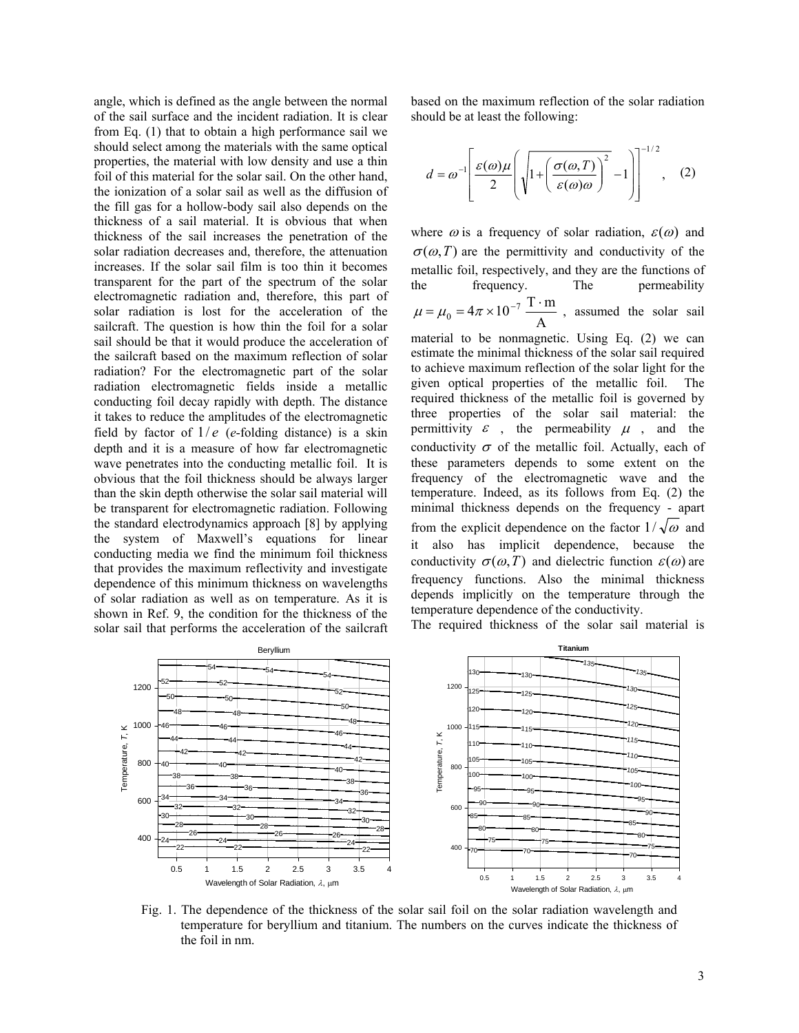angle, which is defined as the angle between the normal of the sail surface and the incident radiation. It is clear from Eq. (1) that to obtain a high performance sail we should select among the materials with the same optical properties, the material with low density and use a thin foil of this material for the solar sail. On the other hand, the ionization of a solar sail as well as the diffusion of the fill gas for a hollow-body sail also depends on the thickness of a sail material. It is obvious that when thickness of the sail increases the penetration of the solar radiation decreases and, therefore, the attenuation increases. If the solar sail film is too thin it becomes transparent for the part of the spectrum of the solar electromagnetic radiation and, therefore, this part of solar radiation is lost for the acceleration of the sailcraft. The question is how thin the foil for a solar sail should be that it would produce the acceleration of the sailcraft based on the maximum reflection of solar radiation? For the electromagnetic part of the solar radiation electromagnetic fields inside a metallic conducting foil decay rapidly with depth. The distance it takes to reduce the amplitudes of the electromagnetic field by factor of  $1/e$  (*e*-folding distance) is a skin depth and it is a measure of how far electromagnetic wave penetrates into the conducting metallic foil. It is obvious that the foil thickness should be always larger than the skin depth otherwise the solar sail material will be transparent for electromagnetic radiation. Following the standard electrodynamics approach [8] by applying the system of Maxwell's equations for linear conducting media we find the minimum foil thickness that provides the maximum reflectivity and investigate dependence of this minimum thickness on wavelengths of solar radiation as well as on temperature. As it is shown in Ref. 9, the condition for the thickness of the solar sail that performs the acceleration of the sailcraft based on the maximum reflection of the solar radiation should be at least the following:

$$
d = \omega^{-1} \left[ \frac{\varepsilon(\omega)\mu}{2} \left( \sqrt{1 + \left( \frac{\sigma(\omega, T)}{\varepsilon(\omega)\omega} \right)^2 - 1} \right) \right]^{-1/2}, \quad (2)
$$

where  $\omega$  is a frequency of solar radiation,  $\varepsilon(\omega)$  and  $\sigma(\omega,T)$  are the permittivity and conductivity of the metallic foil, respectively, and they are the functions of the frequency. The permeability  $\mu = \mu_0 = 4\pi \times 10^{-7} \frac{\text{T} \cdot \text{m}}{\Delta}$ , assumed the solar sail

A material to be nonmagnetic. Using Eq. (2) we can estimate the minimal thickness of the solar sail required to achieve maximum reflection of the solar light for the given optical properties of the metallic foil. The required thickness of the metallic foil is governed by three properties of the solar sail material: the permittivity  $\varepsilon$ , the permeability  $\mu$ , and the conductivity  $\sigma$  of the metallic foil. Actually, each of these parameters depends to some extent on the frequency of the electromagnetic wave and the temperature. Indeed, as its follows from Eq. (2) the minimal thickness depends on the frequency - apart from the explicit dependence on the factor  $1/\sqrt{\omega}$  and it also has implicit dependence, because the conductivity  $\sigma(\omega,T)$  and dielectric function  $\varepsilon(\omega)$  are frequency functions. Also the minimal thickness depends implicitly on the temperature through the temperature dependence of the conductivity.





Fig. 1. The dependence of the thickness of the solar sail foil on the solar radiation wavelength and temperature for beryllium and titanium. The numbers on the curves indicate the thickness of the foil in nm.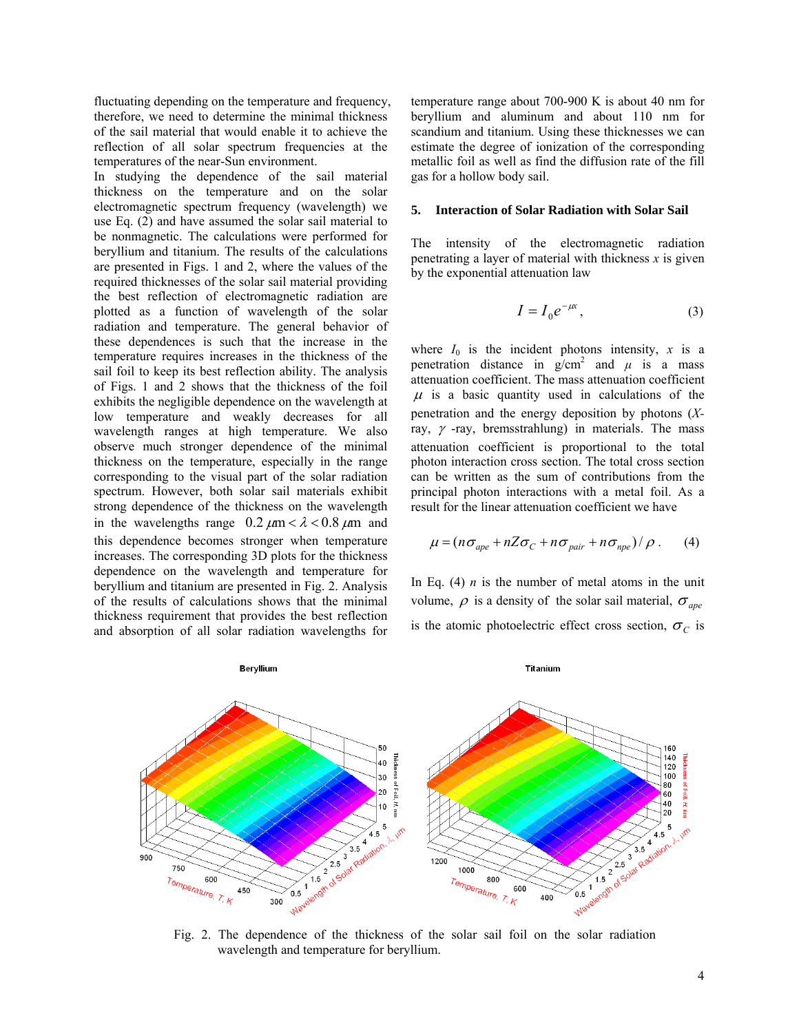fluctuating depending on the temperature and frequency, therefore, we need to determine the minimal thickness of the sail material that would enable it to achieve the reflection of all solar spectrum frequencies at the temperatures of the near-Sun environment.

In studying the dependence of the sail material thickness on the temperature and on the solar electromagnetic spectrum frequency (wavelength) we use Eq. (2) and have assumed the solar sail material to be nonmagnetic. The calculations were performed for beryllium and titanium. The results of the calculations are presented in Figs. 1 and 2, where the values of the required thicknesses of the solar sail material providing the best reflection of electromagnetic radiation are plotted as a function of wavelength of the solar radiation and temperature. The general behavior of these dependences is such that the increase in the temperature requires increases in the thickness of the sail foil to keep its best reflection ability. The analysis of Figs. 1 and 2 shows that the thickness of the foil exhibits the negligible dependence on the wavelength at low temperature and weakly decreases for all wavelength ranges at high temperature. We also observe much stronger dependence of the minimal thickness on the temperature, especially in the range corresponding to the visual part of the solar radiation spectrum. However, both solar sail materials exhibit strong dependence of the thickness on the wavelength in the wavelengths range  $0.2 \mu m < \lambda < 0.8 \mu m$  and this dependence becomes stronger when temperature increases. The corresponding 3D plots for the thickness dependence on the wavelength and temperature for beryllium and titanium are presented in Fig. 2. Analysis of the results of calculations shows that the minimal thickness requirement that provides the best reflection and absorption of all solar radiation wavelengths for

temperature range about 700-900 K is about 40 nm for beryllium and aluminum and about 110 nm for scandium and titanium. Using these thicknesses we can estimate the degree of ionization of the corresponding metallic foil as well as find the diffusion rate of the fill gas for a hollow body sail.

#### **5. Interaction of Solar Radiation with Solar Sail**

The intensity of the electromagnetic radiation penetrating a layer of material with thickness *x* is given by the exponential attenuation law

$$
I = I_0 e^{-\mu x}, \tag{3}
$$

where  $I_0$  is the incident photons intensity,  $x$  is a penetration distance in  $g/cm^2$  and  $\mu$  is a mass attenuation coefficient. The mass attenuation coefficient  $\mu$  is a basic quantity used in calculations of the penetration and the energy deposition by photons (*X*ray,  $\gamma$  -ray, bremsstrahlung) in materials. The mass attenuation coefficient is proportional to the total photon interaction cross section. The total cross section can be written as the sum of contributions from the principal photon interactions with a metal foil. As a result for the linear attenuation coefficient we have

$$
\mu = (n\sigma_{ape} + nZ\sigma_C + n\sigma_{pair} + n\sigma_{npe})/\rho.
$$
 (4)

In Eq.  $(4)$  *n* is the number of metal atoms in the unit volume,  $\rho$  is a density of the solar sail material,  $\sigma_{\text{ape}}$ is the atomic photoelectric effect cross section,  $\sigma_C$  is



Fig. 2. The dependence of the thickness of the solar sail foil on the solar radiation wavelength and temperature for beryllium.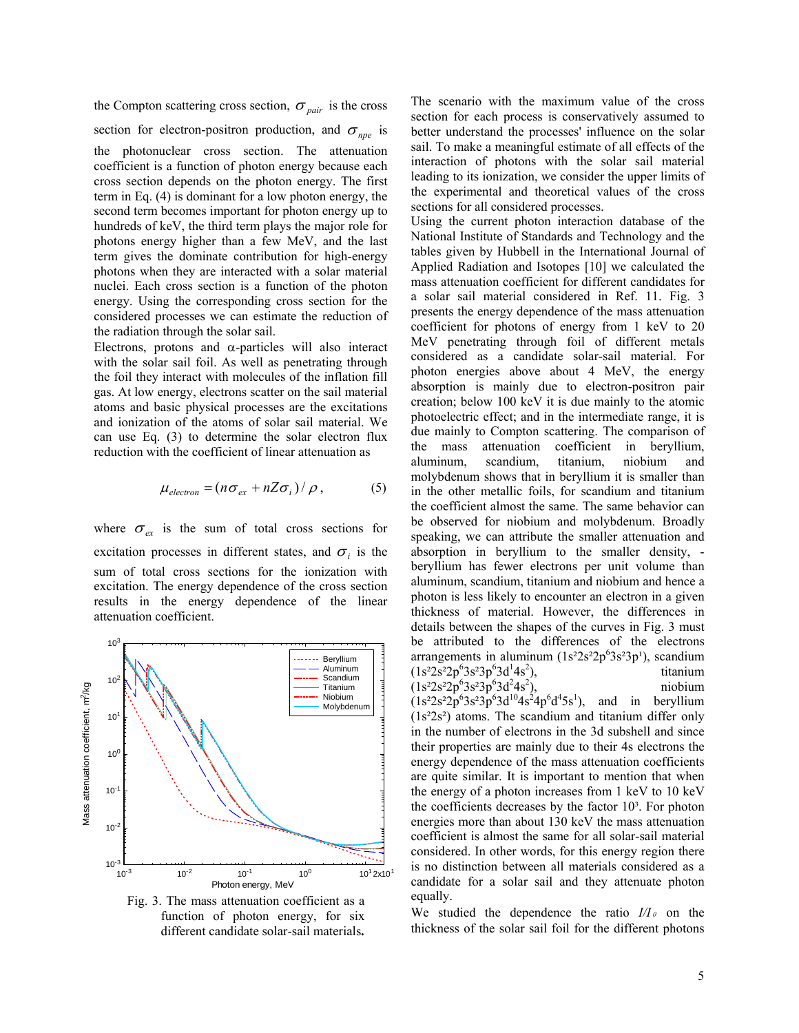the Compton scattering cross section,  $\sigma_{pair}$  is the cross section for electron-positron production, and  $\sigma_{\eta_{\text{p}}\text{e}}$  is the photonuclear cross section. The attenuation coefficient is a function of photon energy because each cross section depends on the photon energy. The first term in Eq. (4) is dominant for a low photon energy, the second term becomes important for photon energy up to hundreds of keV, the third term plays the major role for photons energy higher than a few MeV, and the last term gives the dominate contribution for high-energy photons when they are interacted with a solar material nuclei. Each cross section is a function of the photon energy. Using the corresponding cross section for the considered processes we can estimate the reduction of the radiation through the solar sail.

Electrons, protons and  $\alpha$ -particles will also interact with the solar sail foil. As well as penetrating through the foil they interact with molecules of the inflation fill gas. At low energy, electrons scatter on the sail material atoms and basic physical processes are the excitations and ionization of the atoms of solar sail material. We can use Eq. (3) to determine the solar electron flux reduction with the coefficient of linear attenuation as

$$
\mu_{electron} = (n\sigma_{ex} + nZ\sigma_i)/\rho, \qquad (5)
$$

where  $\sigma_{ex}$  is the sum of total cross sections for excitation processes in different states, and  $\sigma_i$  is the sum of total cross sections for the ionization with excitation. The energy dependence of the cross section results in the energy dependence of the linear attenuation coefficient.



Fig. 3. The mass attenuation coefficient as a function of photon energy, for six different candidate solar-sail materials**.** 

The scenario with the maximum value of the cross section for each process is conservatively assumed to better understand the processes' influence on the solar sail. To make a meaningful estimate of all effects of the interaction of photons with the solar sail material leading to its ionization, we consider the upper limits of the experimental and theoretical values of the cross sections for all considered processes.

Using the current photon interaction database of the National Institute of Standards and Technology and the tables given by Hubbell in the International Journal of Applied Radiation and Isotopes [10] we calculated the mass attenuation coefficient for different candidates for a solar sail material considered in Ref. 11. Fig. 3 presents the energy dependence of the mass attenuation coefficient for photons of energy from 1 keV to 20 MeV penetrating through foil of different metals considered as a candidate solar-sail material. For photon energies above about 4 MeV, the energy absorption is mainly due to electron-positron pair creation; below 100 keV it is due mainly to the atomic photoelectric effect; and in the intermediate range, it is due mainly to Compton scattering. The comparison of the mass attenuation coefficient in beryllium, aluminum, scandium, titanium, niobium and molybdenum shows that in beryllium it is smaller than in the other metallic foils, for scandium and titanium the coefficient almost the same. The same behavior can be observed for niobium and molybdenum. Broadly speaking, we can attribute the smaller attenuation and absorption in beryllium to the smaller density, beryllium has fewer electrons per unit volume than aluminum, scandium, titanium and niobium and hence a photon is less likely to encounter an electron in a given thickness of material. However, the differences in details between the shapes of the curves in Fig. 3 must be attributed to the differences of the electrons arrangements in aluminum  $(1s^22s^22p^63s^23p^1)$ , scandium  $(1s^22s^22p^63s^23p^63d^14s^2$ ), titanium  $(1s<sup>2</sup>2s<sup>2</sup>2p<sup>6</sup>3s<sup>2</sup>3p<sup>6</sup>3d<sup>2</sup>4s<sup>2</sup>$ ), niobium  $(1s<sup>2</sup>2s<sup>2</sup>2p<sup>6</sup>3s<sup>2</sup>3p<sup>6</sup>3d<sup>10</sup>4s<sup>2</sup>4p<sup>6</sup>d<sup>4</sup>5s<sup>1</sup>),$  and in beryllium  $(1s<sup>2</sup>2s<sup>2</sup>)$  atoms. The scandium and titanium differ only in the number of electrons in the 3d subshell and since their properties are mainly due to their 4s electrons the energy dependence of the mass attenuation coefficients are quite similar. It is important to mention that when the energy of a photon increases from 1 keV to 10 keV the coefficients decreases by the factor  $10<sup>3</sup>$ . For photon energies more than about 130 keV the mass attenuation coefficient is almost the same for all solar-sail material considered. In other words, for this energy region there is no distinction between all materials considered as a candidate for a solar sail and they attenuate photon equally.

We studied the dependence the ratio  $I/I_{\theta}$  on the thickness of the solar sail foil for the different photons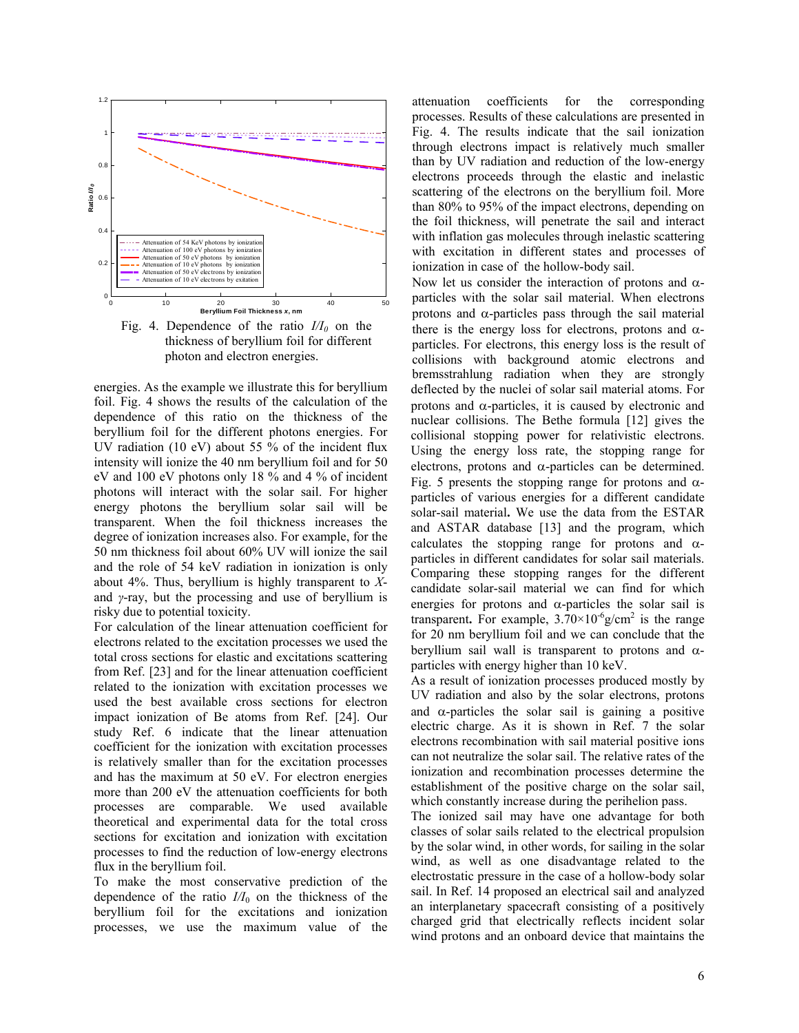

Fig. 4. Dependence of the ratio  $I/I_0$  on the thickness of beryllium foil for different photon and electron energies.

energies. As the example we illustrate this for beryllium foil. Fig. 4 shows the results of the calculation of the dependence of this ratio on the thickness of the beryllium foil for the different photons energies. For UV radiation (10 eV) about 55  $\%$  of the incident flux intensity will ionize the 40 nm beryllium foil and for 50 eV and 100 eV photons only 18 % and 4 % of incident photons will interact with the solar sail. For higher energy photons the beryllium solar sail will be transparent. When the foil thickness increases the degree of ionization increases also. For example, for the 50 nm thickness foil about 60% UV will ionize the sail and the role of 54 keV radiation in ionization is only about 4%. Thus, beryllium is highly transparent to *X*and *γ*-ray, but the processing and use of beryllium is risky due to potential toxicity.

For calculation of the linear attenuation coefficient for electrons related to the excitation processes we used the total cross sections for elastic and excitations scattering from Ref. [23] and for the linear attenuation coefficient related to the ionization with excitation processes we used the best available cross sections for electron impact ionization of Be atoms from Ref. [24]. Our study Ref. 6 indicate that the linear attenuation coefficient for the ionization with excitation processes is relatively smaller than for the excitation processes and has the maximum at 50 eV. For electron energies more than 200 eV the attenuation coefficients for both processes are comparable. We used available theoretical and experimental data for the total cross sections for excitation and ionization with excitation processes to find the reduction of low-energy electrons flux in the beryllium foil.

To make the most conservative prediction of the dependence of the ratio  $I/I_0$  on the thickness of the beryllium foil for the excitations and ionization processes, we use the maximum value of the

attenuation coefficients for the corresponding processes. Results of these calculations are presented in Fig. 4. The results indicate that the sail ionization through electrons impact is relatively much smaller than by UV radiation and reduction of the low-energy electrons proceeds through the elastic and inelastic scattering of the electrons on the beryllium foil. More than 80% to 95% of the impact electrons, depending on the foil thickness, will penetrate the sail and interact with inflation gas molecules through inelastic scattering with excitation in different states and processes of ionization in case of the hollow-body sail.

Now let us consider the interaction of protons and  $\alpha$ particles with the solar sail material. When electrons protons and α-particles pass through the sail material there is the energy loss for electrons, protons and  $\alpha$ particles. For electrons, this energy loss is the result of collisions with background atomic electrons and bremsstrahlung radiation when they are strongly deflected by the nuclei of solar sail material atoms. For protons and α-particles, it is caused by electronic and nuclear collisions. The Bethe formula [12] gives the collisional stopping power for relativistic electrons. Using the energy loss rate, the stopping range for electrons, protons and  $\alpha$ -particles can be determined. Fig. 5 presents the stopping range for protons and  $\alpha$ particles of various energies for a different candidate solar-sail material**.** We use the data from the ESTAR and ASTAR database [13] and the program, which calculates the stopping range for protons and  $\alpha$ particles in different candidates for solar sail materials. Comparing these stopping ranges for the different candidate solar-sail material we can find for which energies for protons and  $\alpha$ -particles the solar sail is transparent. For example,  $3.70 \times 10^{-6}$  g/cm<sup>2</sup> is the range for 20 nm beryllium foil and we can conclude that the beryllium sail wall is transparent to protons and  $\alpha$ particles with energy higher than 10 keV.

As a result of ionization processes produced mostly by UV radiation and also by the solar electrons, protons and  $\alpha$ -particles the solar sail is gaining a positive electric charge. As it is shown in Ref. 7 the solar electrons recombination with sail material positive ions can not neutralize the solar sail. The relative rates of the ionization and recombination processes determine the establishment of the positive charge on the solar sail, which constantly increase during the perihelion pass.

The ionized sail may have one advantage for both classes of solar sails related to the electrical propulsion by the solar wind, in other words, for sailing in the solar wind, as well as one disadvantage related to the electrostatic pressure in the case of a hollow-body solar sail. In Ref. 14 proposed an electrical sail and analyzed an interplanetary spacecraft consisting of a positively charged grid that electrically reflects incident solar wind protons and an onboard device that maintains the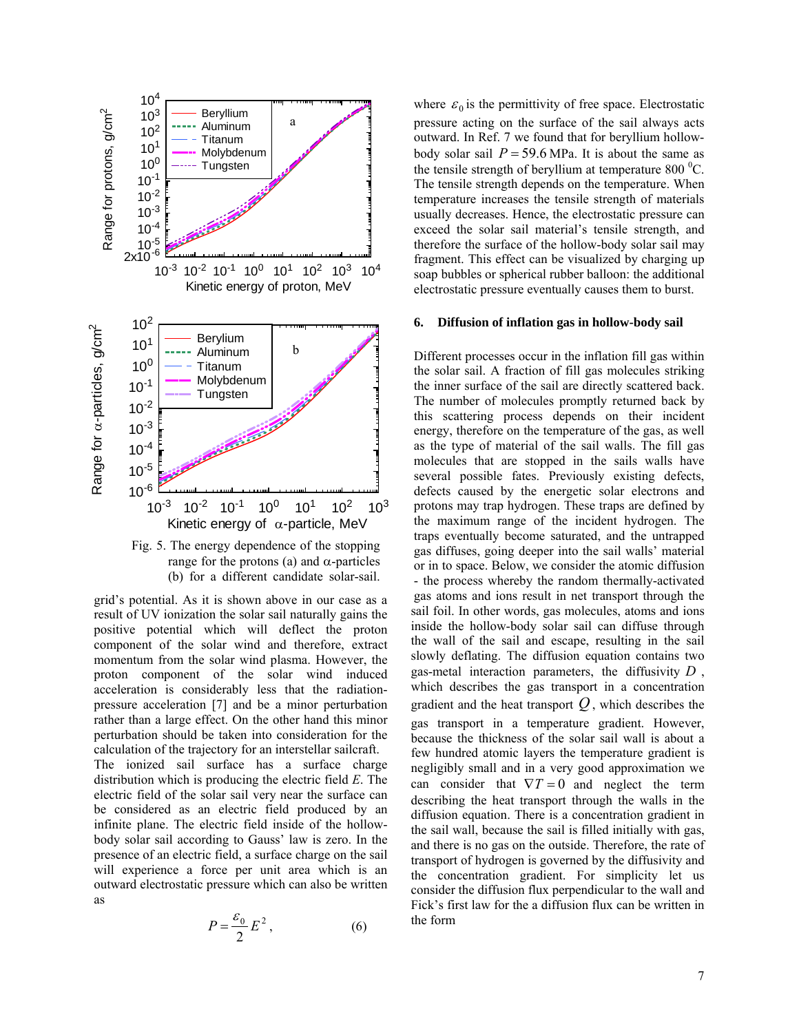



grid's potential. As it is shown above in our case as a result of UV ionization the solar sail naturally gains the positive potential which will deflect the proton component of the solar wind and therefore, extract momentum from the solar wind plasma. However, the proton component of the solar wind induced acceleration is considerably less that the radiationpressure acceleration [7] and be a minor perturbation rather than a large effect. On the other hand this minor perturbation should be taken into consideration for the calculation of the trajectory for an interstellar sailcraft. The ionized sail surface has a surface charge distribution which is producing the electric field *E*. The electric field of the solar sail very near the surface can be considered as an electric field produced by an infinite plane. The electric field inside of the hollowbody solar sail according to Gauss' law is zero. In the presence of an electric field, a surface charge on the sail will experience a force per unit area which is an outward electrostatic pressure which can also be written as

$$
P = \frac{\varepsilon_0}{2} E^2, \qquad (6)
$$

where  $\varepsilon_0$  is the permittivity of free space. Electrostatic pressure acting on the surface of the sail always acts outward. In Ref. 7 we found that for beryllium hollowbody solar sail  $P = 59.6$  MPa. It is about the same as the tensile strength of beryllium at temperature 800 $\mathrm{^{0}C}$ . The tensile strength depends on the temperature. When temperature increases the tensile strength of materials usually decreases. Hence, the electrostatic pressure can exceed the solar sail material's tensile strength, and therefore the surface of the hollow-body solar sail may fragment. This effect can be visualized by charging up soap bubbles or spherical rubber balloon: the additional electrostatic pressure eventually causes them to burst.

### **6. Diffusion of inflation gas in hollow-body sail**

Different processes occur in the inflation fill gas within the solar sail. A fraction of fill gas molecules striking the inner surface of the sail are directly scattered back. The number of molecules promptly returned back by this scattering process depends on their incident energy, therefore on the temperature of the gas, as well as the type of material of the sail walls. The fill gas molecules that are stopped in the sails walls have several possible fates. Previously existing defects, defects caused by the energetic solar electrons and protons may trap hydrogen. These traps are defined by the maximum range of the incident hydrogen. The traps eventually become saturated, and the untrapped gas diffuses, going deeper into the sail walls' material or in to space. Below, we consider the atomic diffusion - the process whereby the random thermally-activated gas atoms and ions result in net transport through the sail foil. In other words, gas molecules, atoms and ions inside the hollow-body solar sail can diffuse through the wall of the sail and escape, resulting in the sail slowly deflating. The diffusion equation contains two gas-metal interaction parameters, the diffusivity *D* , which describes the gas transport in a concentration gradient and the heat transport  $Q$ , which describes the gas transport in a temperature gradient. However, because the thickness of the solar sail wall is about a few hundred atomic layers the temperature gradient is negligibly small and in a very good approximation we can consider that  $\nabla T = 0$  and neglect the term describing the heat transport through the walls in the diffusion equation. There is a concentration gradient in the sail wall, because the sail is filled initially with gas, and there is no gas on the outside. Therefore, the rate of transport of hydrogen is governed by the diffusivity and the concentration gradient. For simplicity let us consider the diffusion flux perpendicular to the wall and Fick's first law for the a diffusion flux can be written in the form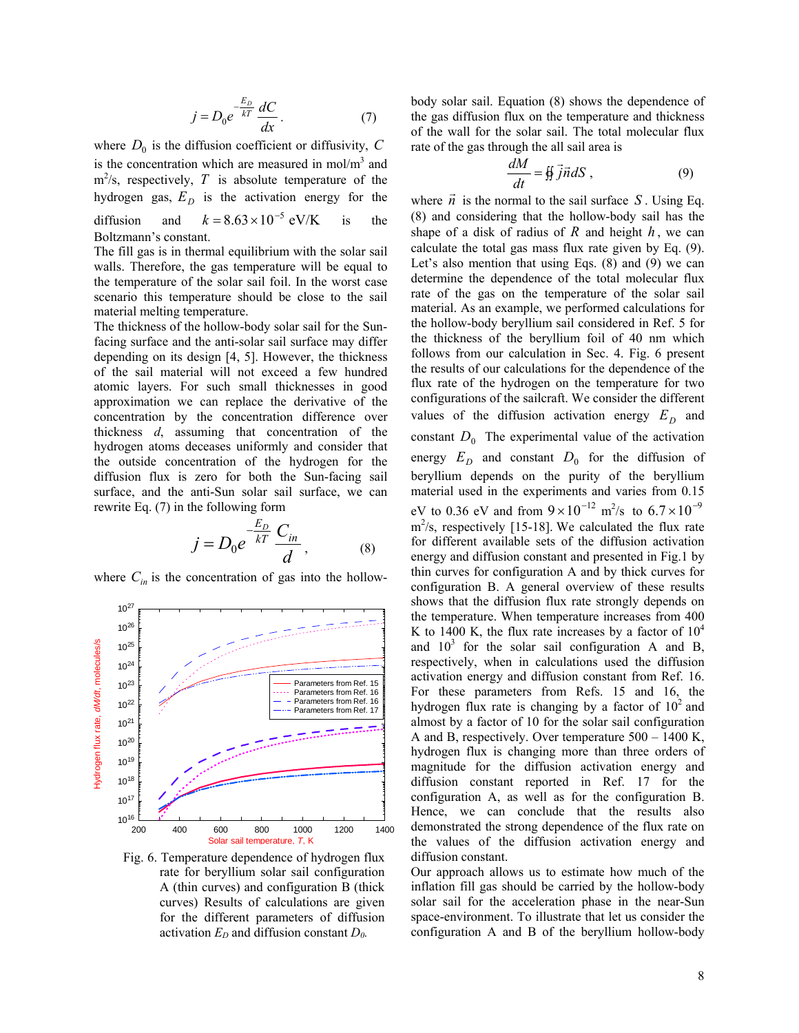$$
j = D_0 e^{-\frac{E_D}{kT}} \frac{dC}{dx}.
$$
 (7)

where  $D_0$  is the diffusion coefficient or diffusivity,  $C$ is the concentration which are measured in  $mol/m<sup>3</sup>$  and  $m^2$ /s, respectively, *T* is absolute temperature of the hydrogen gas,  $E_D$  is the activation energy for the diffusion and  $k = 8.63 \times 10^{-5}$  eV/K is the Boltzmann's constant.

The fill gas is in thermal equilibrium with the solar sail walls. Therefore, the gas temperature will be equal to the temperature of the solar sail foil. In the worst case scenario this temperature should be close to the sail material melting temperature.

The thickness of the hollow-body solar sail for the Sunfacing surface and the anti-solar sail surface may differ depending on its design [4, 5]. However, the thickness of the sail material will not exceed a few hundred atomic layers. For such small thicknesses in good approximation we can replace the derivative of the concentration by the concentration difference over thickness *d*, assuming that concentration of the hydrogen atoms deceases uniformly and consider that the outside concentration of the hydrogen for the diffusion flux is zero for both the Sun-facing sail surface, and the anti-Sun solar sail surface, we can rewrite Eq. (7) in the following form

$$
j = D_0 e^{-\frac{E_D}{kT}} \frac{C_{in}}{d}, \qquad (8)
$$

where  $C_{in}$  is the concentration of gas into the hollow-



Fig. 6. Temperature dependence of hydrogen flux rate for beryllium solar sail configuration A (thin curves) and configuration B (thick curves) Results of calculations are given for the different parameters of diffusion activation  $E_D$  and diffusion constant  $D_0$ .

body solar sail. Equation (8) shows the dependence of the gas diffusion flux on the temperature and thickness of the wall for the solar sail. The total molecular flux rate of the gas through the all sail area is

$$
\frac{dM}{dt} = \frac{4}{3} \vec{j} \vec{n} dS , \qquad (9)
$$

where  $\vec{n}$  is the normal to the sail surface *S*. Using Eq. (8) and considering that the hollow-body sail has the shape of a disk of radius of  $R$  and height  $h$ , we can calculate the total gas mass flux rate given by Eq. (9). Let's also mention that using Eqs. (8) and (9) we can determine the dependence of the total molecular flux rate of the gas on the temperature of the solar sail material. As an example, we performed calculations for the hollow-body beryllium sail considered in Ref. 5 for the thickness of the beryllium foil of 40 nm which follows from our calculation in Sec. 4. Fig. 6 present the results of our calculations for the dependence of the flux rate of the hydrogen on the temperature for two configurations of the sailcraft. We consider the different values of the diffusion activation energy  $E_D$  and constant  $D_0$  The experimental value of the activation energy  $E_D$  and constant  $D_0$  for the diffusion of beryllium depends on the purity of the beryllium material used in the experiments and varies from 0.15 eV to 0.36 eV and from  $9 \times 10^{-12}$  m<sup>2</sup>/s to  $6.7 \times 10^{-9}$  $\text{m}^2$ /s, respectively [15-18]. We calculated the flux rate for different available sets of the diffusion activation energy and diffusion constant and presented in Fig.1 by thin curves for configuration A and by thick curves for configuration B. A general overview of these results shows that the diffusion flux rate strongly depends on the temperature. When temperature increases from 400 K to 1400 K, the flux rate increases by a factor of  $10^4$ and  $10<sup>3</sup>$  for the solar sail configuration A and B, respectively, when in calculations used the diffusion activation energy and diffusion constant from Ref. 16. For these parameters from Refs. 15 and 16, the hydrogen flux rate is changing by a factor of  $10<sup>2</sup>$  and almost by a factor of 10 for the solar sail configuration A and B, respectively. Over temperature 500 – 1400 K, hydrogen flux is changing more than three orders of magnitude for the diffusion activation energy and diffusion constant reported in Ref. 17 for the configuration A, as well as for the configuration B. Hence, we can conclude that the results also demonstrated the strong dependence of the flux rate on the values of the diffusion activation energy and diffusion constant.

Our approach allows us to estimate how much of the inflation fill gas should be carried by the hollow-body solar sail for the acceleration phase in the near-Sun space-environment. To illustrate that let us consider the configuration A and B of the beryllium hollow-body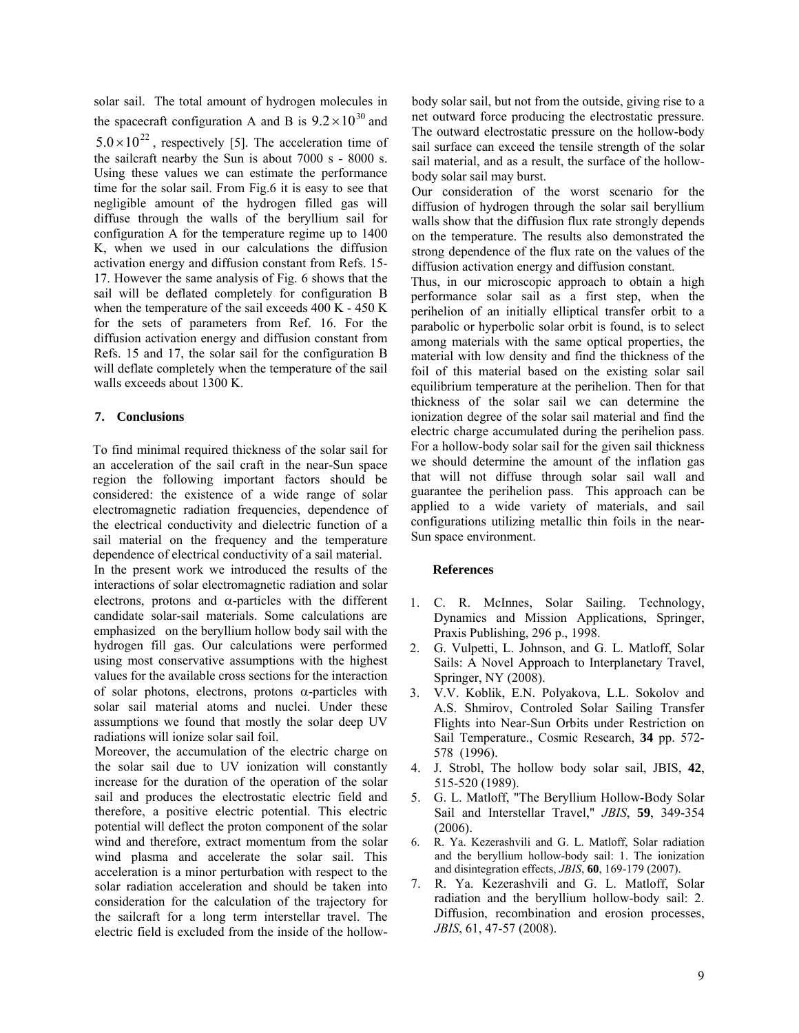solar sail. The total amount of hydrogen molecules in the spacecraft configuration A and B is  $9.2 \times 10^{30}$  and  $5.0 \times 10^{22}$ , respectively [5]. The acceleration time of the sailcraft nearby the Sun is about 7000 s - 8000 s. Using these values we can estimate the performance time for the solar sail. From Fig.6 it is easy to see that negligible amount of the hydrogen filled gas will diffuse through the walls of the beryllium sail for configuration A for the temperature regime up to 1400 K, when we used in our calculations the diffusion activation energy and diffusion constant from Refs. 15- 17. However the same analysis of Fig. 6 shows that the sail will be deflated completely for configuration B when the temperature of the sail exceeds 400 K - 450 K for the sets of parameters from Ref. 16. For the diffusion activation energy and diffusion constant from Refs. 15 and 17, the solar sail for the configuration B will deflate completely when the temperature of the sail walls exceeds about 1300 K.

# **7. Conclusions**

To find minimal required thickness of the solar sail for an acceleration of the sail craft in the near-Sun space region the following important factors should be considered: the existence of a wide range of solar electromagnetic radiation frequencies, dependence of the electrical conductivity and dielectric function of a sail material on the frequency and the temperature dependence of electrical conductivity of a sail material. In the present work we introduced the results of the interactions of solar electromagnetic radiation and solar electrons, protons and  $\alpha$ -particles with the different candidate solar-sail materials. Some calculations are emphasized on the beryllium hollow body sail with the hydrogen fill gas. Our calculations were performed using most conservative assumptions with the highest values for the available cross sections for the interaction of solar photons, electrons, protons  $\alpha$ -particles with solar sail material atoms and nuclei. Under these assumptions we found that mostly the solar deep UV radiations will ionize solar sail foil.

Moreover, the accumulation of the electric charge on the solar sail due to UV ionization will constantly increase for the duration of the operation of the solar sail and produces the electrostatic electric field and therefore, a positive electric potential. This electric potential will deflect the proton component of the solar wind and therefore, extract momentum from the solar wind plasma and accelerate the solar sail. This acceleration is a minor perturbation with respect to the solar radiation acceleration and should be taken into consideration for the calculation of the trajectory for the sailcraft for a long term interstellar travel. The electric field is excluded from the inside of the hollow-

body solar sail, but not from the outside, giving rise to a net outward force producing the electrostatic pressure. The outward electrostatic pressure on the hollow-body sail surface can exceed the tensile strength of the solar sail material, and as a result, the surface of the hollowbody solar sail may burst.

Our consideration of the worst scenario for the diffusion of hydrogen through the solar sail beryllium walls show that the diffusion flux rate strongly depends on the temperature. The results also demonstrated the strong dependence of the flux rate on the values of the diffusion activation energy and diffusion constant.

Thus, in our microscopic approach to obtain a high performance solar sail as a first step, when the perihelion of an initially elliptical transfer orbit to a parabolic or hyperbolic solar orbit is found, is to select among materials with the same optical properties, the material with low density and find the thickness of the foil of this material based on the existing solar sail equilibrium temperature at the perihelion. Then for that thickness of the solar sail we can determine the ionization degree of the solar sail material and find the electric charge accumulated during the perihelion pass. For a hollow-body solar sail for the given sail thickness we should determine the amount of the inflation gas that will not diffuse through solar sail wall and guarantee the perihelion pass. This approach can be applied to a wide variety of materials, and sail configurations utilizing metallic thin foils in the near-Sun space environment.

# **References**

- 1. C. R. McInnes, Solar Sailing. Technology, Dynamics and Mission Applications, Springer, Praxis Publishing, 296 p., 1998.
- 2. G. Vulpetti, L. Johnson, and G. L. Matloff, Solar Sails: A Novel Approach to Interplanetary Travel, Springer, NY (2008).
- 3. V.V. Koblik, E.N. Polyakova, L.L. Sokolov and A.S. Shmirov, Controled Solar Sailing Transfer Flights into Near-Sun Orbits under Restriction on Sail Temperature., Cosmic Research, **34** pp. 572- 578 (1996).
- 4. J. Strobl, The hollow body solar sail, JBIS, **42**, 515-520 (1989).
- 5. G. L. Matloff, "The Beryllium Hollow-Body Solar Sail and Interstellar Travel," *JBIS*, **59**, 349-354 (2006).
- 6. R. Ya. Kezerashvili and G. L. Matloff, Solar radiation and the beryllium hollow-body sail: 1. The ionization and disintegration effects, *JBIS*, **60**, 169-179 (2007).
- 7. R. Ya. Kezerashvili and G. L. Matloff, Solar radiation and the beryllium hollow-body sail: 2. Diffusion, recombination and erosion processes, *JBIS*, 61, 47-57 (2008).